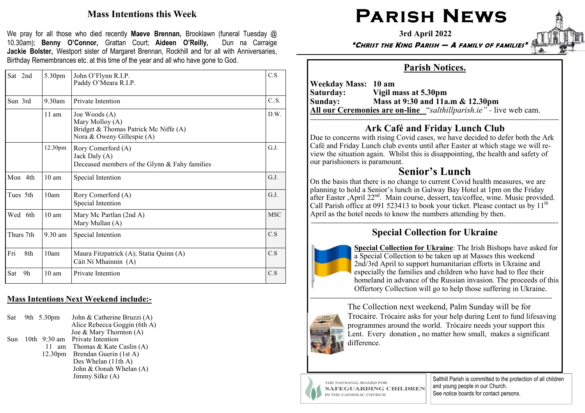# Mass Intentions this Week

We pray for all those who died recently Maeve Brennan, Brooklawn (funeral Tuesday @ Dun na Carraige 10.30am); Benny O'Connor, Grattan Court; Aideen O'Reilly, Jackie Bolster, Westport sister of Margaret Brennan, Rockhill and for all with Anniversaries, Birthday Remembrances etc. at this time of the year and all who have gone to God.

| Sat 2nd               | 5.30pm              | John O'Flynn R.I.P.<br>Paddy O'Meara R.I.P.                                                             | C.S        |
|-----------------------|---------------------|---------------------------------------------------------------------------------------------------------|------------|
| Sun 3rd               | 9.30am              | Private Intention                                                                                       | C.S.       |
|                       | $11 \text{ am}$     | Joe Woods (A)<br>Mary Molloy (A)<br>Bridget & Thomas Patrick Mc Niffe (A)<br>Nora & Oweny Gillespie (A) | D.W.       |
|                       | 12.30 <sub>pm</sub> | Rory Comerford (A)<br>Jack Daly (A)<br>Deceased members of the Glynn & Fahy families                    | G.J.       |
| Mon 4th               | $10 \text{ am}$     | Special Intention                                                                                       | G.J.       |
| Tues 5th              | 10am                | Rory Comerford (A)<br>Special Intention                                                                 | G.J.       |
| Wed 6th               | 10 <sub>am</sub>    | Mary Mc Partlan (2nd A)<br>Mary Mullan (A)                                                              | <b>MSC</b> |
| Thurs 7th             | 9.30 am             | Special Intention                                                                                       | C.S        |
| 8th<br>Fri            | 10am                | Maura Fitzpatrick (A); Statia Quinn (A)<br>Cáit Ní Mhainnin (A)                                         | C.S        |
| 9 <sub>h</sub><br>Sat | $10 \text{ am}$     | Private Intention                                                                                       | C.S        |

# Mass Intentions Next Weekend include:**-**

Sat 9th 5.30pm John & Catherine Bruzzi (A) Alice Rebecca Goggin (6th A) Joe & Mary Thornton (A) Sun 10th 9:30 am Private Intention 11 am Thomas & Kate Caslin (A) 12.30pm Brendan Guerin (1st A) Des Whelan (11th A) John & Oonah Whelan (A)Jimmy Silke (A)

# PARISH NEWS

3rd April 2022

"CHRIST THE KING PARISH — A FAMILY OF FAMILIES"

# Parish Notices.

Weekday Mass: 10 am<br>Saturday: Vigil n Saturday: Vigil mass at 5.30pm Sunday: Mass at 9:30 and 11a.m & 12.30pm All our Ceremonies are on**-**line "salthillparish.ie" *-* live web cam.

#### —————————————————————–——————-——Ark Café and Friday Lunch Club

 Due to concerns with rising Covid cases, we have decided to defer both the Ark Café and Friday Lunch club events until after Easter at which stage we will review the situation again. Whilst this is disappointing, the health and safety of our parishioners is paramount.

# Senior's Lunch

 On the basis that there is no change to current Covid health measures, we are planning to hold a Senior's lunch in Galway Bay Hotel at 1pm on the Friday after Easter ,April 22<sup>nd</sup>. Main course, dessert, tea/coffee, wine. Music provided. Call Parish office at 091 523413 to book your ticket. Please contact us by  $11<sup>th</sup>$ April as the hotel needs to know the numbers attending by then.

#### —————————————————————————————--Special Collection for Ukraine

—————————————————————————————



Special Collection for Ukraine: The Irish Bishops have asked for a Special Collection to be taken up at Masses this weekend 2nd/3rd April to support humanitarian efforts in Ukraine and especially the families and children who have had to flee their homeland in advance of the Russian invasion. The proceeds of this Offertory Collection will go to help those suffering in Ukraine.



 The Collection next weekend, Palm Sunday will be for Trocaire. Trócaire asks for your help during Lent to fund lifesaving programmes around the world. Trócaire needs your support this Lent. Every donation , no matter how small, makes a significant difference.

THE NATIONAL BOARD FOR **SAFEGUARDING CHILDREN** IN THE CATHOLIC CHURCH

Salthill Parish is committed to the protection of all children and young people in our Church. See notice boards for contact persons.